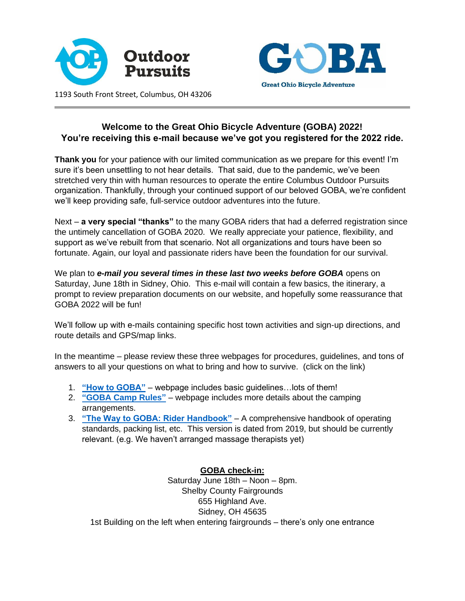



**Welcome to the Great Ohio Bicycle Adventure (GOBA) 2022!** 

# **You're receiving this e-mail because we've got you registered for the 2022 ride.**

**Thank you** for your patience with our limited communication as we prepare for this event! I'm sure it's been unsettling to not hear details. That said, due to the pandemic, we've been stretched very thin with human resources to operate the entire Columbus Outdoor Pursuits organization. Thankfully, through your continued support of our beloved GOBA, we're confident we'll keep providing safe, full-service outdoor adventures into the future.

Next – **a very special "thanks"** to the many GOBA riders that had a deferred registration since the untimely cancellation of GOBA 2020. We really appreciate your patience, flexibility, and support as we've rebuilt from that scenario. Not all organizations and tours have been so fortunate. Again, our loyal and passionate riders have been the foundation for our survival.

We plan to **e-mail you several times in these last two weeks before GOBA** opens on Saturday, June 18th in Sidney, Ohio. This e-mail will contain a few basics, the itinerary, a prompt to review preparation documents on our website, and hopefully some reassurance that GOBA 2022 will be fun!

We'll follow up with e-mails containing specific host town activities and sign-up directions, and route details and GPS/map links.

In the meantime – please review these three webpages for procedures, guidelines, and tons of answers to all your questions on what to bring and how to survive. (click on the link)

- 1. **["How to GOBA"](https://goba.com/goba-how-to-goba-2022/)** webpage includes basic guidelines…lots of them!
- 2. **["GOBA Camp Rules"](https://goba.com/goba-camp-rules-2022/)** webpage includes more details about the camping arrangements.
- 3. **["The Way to GOBA: Rider Handbook"](https://goba.com/wp-content/uploads/2019/04/new-waytogoba08.pdf)** A comprehensive handbook of operating standards, packing list, etc. This version is dated from 2019, but should be currently relevant. (e.g. We haven't arranged massage therapists yet)

# **GOBA check-in:**

Saturday June 18th – Noon – 8pm. Shelby County Fairgrounds 655 Highland Ave. Sidney, OH 45635 1st Building on the left when entering fairgrounds – there's only one entrance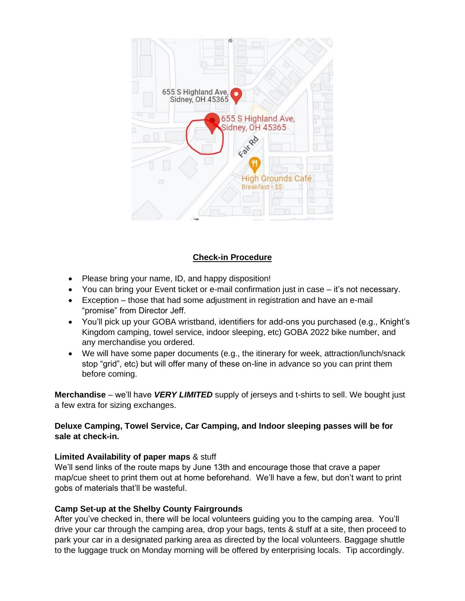

## **Check-in Procedure**

- Please bring your name, ID, and happy disposition!
- You can bring your Event ticket or e-mail confirmation just in case it's not necessary.
- Exception those that had some adjustment in registration and have an e-mail "promise" from Director Jeff.
- You'll pick up your GOBA wristband, identifiers for add-ons you purchased (e.g., Knight's Kingdom camping, towel service, indoor sleeping, etc) GOBA 2022 bike number, and any merchandise you ordered.
- We will have some paper documents (e.g., the itinerary for week, attraction/lunch/snack stop "grid", etc) but will offer many of these on-line in advance so you can print them before coming.

**Merchandise** – we'll have *VERY LIMITED* supply of jerseys and t-shirts to sell. We bought just a few extra for sizing exchanges.

## **Deluxe Camping, Towel Service, Car Camping, and Indoor sleeping passes will be for sale at check-in.**

## **Limited Availability of paper maps** & stuff

We'll send links of the route maps by June 13th and encourage those that crave a paper map/cue sheet to print them out at home beforehand. We'll have a few, but don't want to print gobs of materials that'll be wasteful.

# **Camp Set-up at the Shelby County Fairgrounds**

After you've checked in, there will be local volunteers guiding you to the camping area. You'll drive your car through the camping area, drop your bags, tents & stuff at a site, then proceed to park your car in a designated parking area as directed by the local volunteers. Baggage shuttle to the luggage truck on Monday morning will be offered by enterprising locals. Tip accordingly.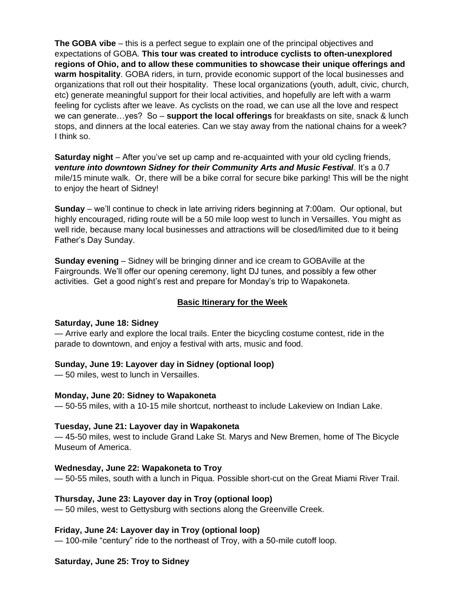**The GOBA vibe** – this is a perfect segue to explain one of the principal objectives and expectations of GOBA. **This tour was created to introduce cyclists to often-unexplored regions of Ohio, and to allow these communities to showcase their unique offerings and warm hospitality**. GOBA riders, in turn, provide economic support of the local businesses and organizations that roll out their hospitality. These local organizations (youth, adult, civic, church, etc) generate meaningful support for their local activities, and hopefully are left with a warm feeling for cyclists after we leave. As cyclists on the road, we can use all the love and respect we can generate…yes? So – **support the local offerings** for breakfasts on site, snack & lunch stops, and dinners at the local eateries. Can we stay away from the national chains for a week? I think so.

**Saturday night** – After you've set up camp and re-acquainted with your old cycling friends, *venture into downtown Sidney for their Community Arts and Music Festival*. It's a 0.7 mile/15 minute walk. Or, there will be a bike corral for secure bike parking! This will be the night to enjoy the heart of Sidney!

**Sunday** – we'll continue to check in late arriving riders beginning at 7:00am. Our optional, but highly encouraged, riding route will be a 50 mile loop west to lunch in Versailles. You might as well ride, because many local businesses and attractions will be closed/limited due to it being Father's Day Sunday.

**Sunday evening** – Sidney will be bringing dinner and ice cream to GOBAville at the Fairgrounds. We'll offer our opening ceremony, light DJ tunes, and possibly a few other activities. Get a good night's rest and prepare for Monday's trip to Wapakoneta.

## **Basic Itinerary for the Week**

#### **Saturday, June 18: Sidney**

— Arrive early and explore the local trails. Enter the bicycling costume contest, ride in the parade to downtown, and enjoy a festival with arts, music and food.

#### **Sunday, June 19: Layover day in Sidney (optional loop)**

— 50 miles, west to lunch in Versailles.

#### **Monday, June 20: Sidney to Wapakoneta**

— 50-55 miles, with a 10-15 mile shortcut, northeast to include Lakeview on Indian Lake.

#### **Tuesday, June 21: Layover day in Wapakoneta**

— 45-50 miles, west to include Grand Lake St. Marys and New Bremen, home of The Bicycle Museum of America.

## **Wednesday, June 22: Wapakoneta to Troy**

— 50-55 miles, south with a lunch in Piqua. Possible short-cut on the Great Miami River Trail.

#### **Thursday, June 23: Layover day in Troy (optional loop)**

— 50 miles, west to Gettysburg with sections along the Greenville Creek.

#### **Friday, June 24: Layover day in Troy (optional loop)**

— 100-mile "century" ride to the northeast of Troy, with a 50-mile cutoff loop.

#### **Saturday, June 25: Troy to Sidney**